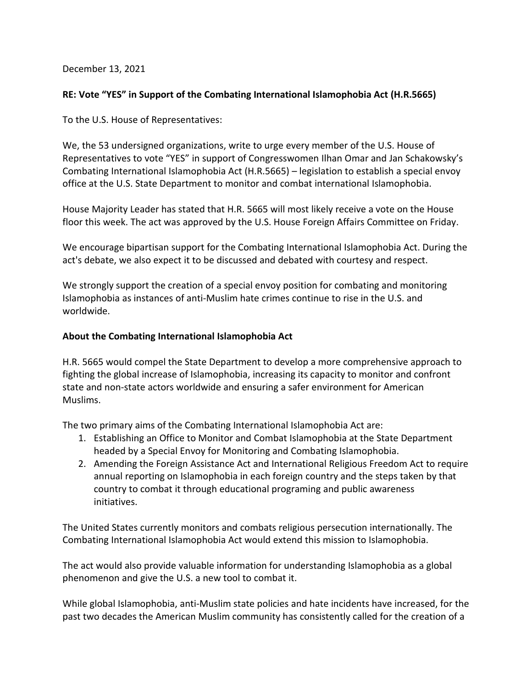December 13, 2021

## **RE: Vote "YES" in Support of the Combating International Islamophobia Act (H.R.5665)**

To the U.S. House of Representatives:

We, the 53 undersigned organizations, write to urge every member of the U.S. House of Representatives to vote "YES" in support of Congresswomen Ilhan Omar and Jan Schakowsky's Combating International Islamophobia Act (H.R.5665) – legislation to establish a special envoy office at the U.S. State Department to monitor and combat international Islamophobia.

House Majority Leader has stated that H.R. 5665 will most likely receive a vote on the House floor this week. The act was approved by the U.S. House Foreign Affairs Committee on Friday.

We encourage bipartisan support for the Combating International Islamophobia Act. During the act's debate, we also expect it to be discussed and debated with courtesy and respect.

We strongly support the creation of a special envoy position for combating and monitoring Islamophobia as instances of anti-Muslim hate crimes continue to rise in the U.S. and worldwide.

## **About the Combating International Islamophobia Act**

H.R. 5665 would compel the State Department to develop a more comprehensive approach to fighting the global increase of Islamophobia, increasing its capacity to monitor and confront state and non-state actors worldwide and ensuring a safer environment for American Muslims.

The two primary aims of the Combating International Islamophobia Act are:

- 1. Establishing an Office to Monitor and Combat Islamophobia at the State Department headed by a Special Envoy for Monitoring and Combating Islamophobia.
- 2. Amending the Foreign Assistance Act and International Religious Freedom Act to require annual reporting on Islamophobia in each foreign country and the steps taken by that country to combat it through educational programing and public awareness initiatives.

The United States currently monitors and combats religious persecution internationally. The Combating International Islamophobia Act would extend this mission to Islamophobia.

The act would also provide valuable information for understanding Islamophobia as a global phenomenon and give the U.S. a new tool to combat it.

While global Islamophobia, anti-Muslim state policies and hate incidents have increased, for the past two decades the American Muslim community has consistently called for the creation of a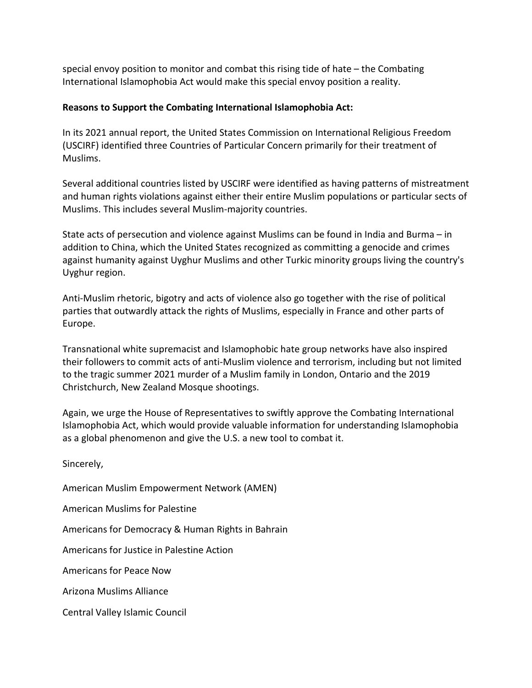special envoy position to monitor and combat this rising tide of hate – the Combating International Islamophobia Act would make this special envoy position a reality.

## **Reasons to Support the Combating International Islamophobia Act:**

In its 2021 annual report, the United States Commission on International Religious Freedom (USCIRF) identified three Countries of Particular Concern primarily for their treatment of Muslims.

Several additional countries listed by USCIRF were identified as having patterns of mistreatment and human rights violations against either their entire Muslim populations or particular sects of Muslims. This includes several Muslim-majority countries.

State acts of persecution and violence against Muslims can be found in India and Burma – in addition to China, which the United States recognized as committing a genocide and crimes against humanity against Uyghur Muslims and other Turkic minority groups living the country's Uyghur region.

Anti-Muslim rhetoric, bigotry and acts of violence also go together with the rise of political parties that outwardly attack the rights of Muslims, especially in France and other parts of Europe.

Transnational white supremacist and Islamophobic hate group networks have also inspired their followers to commit acts of anti-Muslim violence and terrorism, including but not limited to the tragic summer 2021 murder of a Muslim family in London, Ontario and the 2019 Christchurch, New Zealand Mosque shootings.

Again, we urge the House of Representatives to swiftly approve the Combating International Islamophobia Act, which would provide valuable information for understanding Islamophobia as a global phenomenon and give the U.S. a new tool to combat it.

Sincerely,

American Muslim Empowerment Network (AMEN)

American Muslims for Palestine

Americans for Democracy & Human Rights in Bahrain

Americans for Justice in Palestine Action

Americans for Peace Now

Arizona Muslims Alliance

Central Valley Islamic Council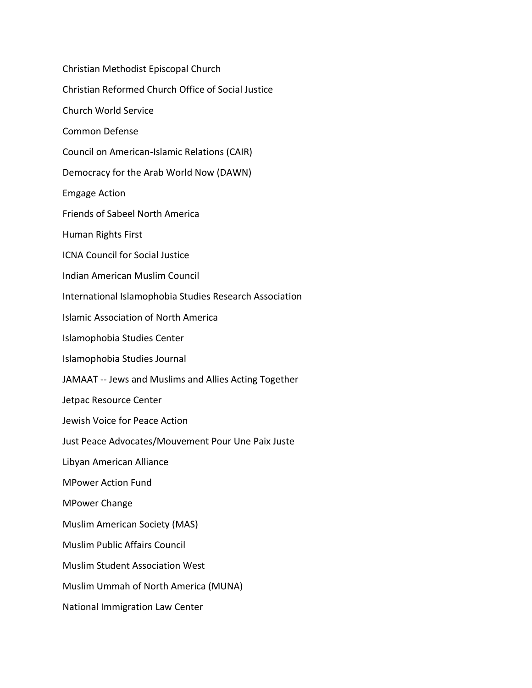Christian Methodist Episcopal Church Christian Reformed Church Office of Social Justice Church World Service Common Defense Council on American-Islamic Relations (CAIR) Democracy for the Arab World Now (DAWN) Emgage Action Friends of Sabeel North America Human Rights First ICNA Council for Social Justice Indian American Muslim Council International Islamophobia Studies Research Association Islamic Association of North America Islamophobia Studies Center Islamophobia Studies Journal JAMAAT -- Jews and Muslims and Allies Acting Together Jetpac Resource Center Jewish Voice for Peace Action Just Peace Advocates/Mouvement Pour Une Paix Juste Libyan American Alliance MPower Action Fund MPower Change Muslim American Society (MAS) Muslim Public Affairs Council Muslim Student Association West Muslim Ummah of North America (MUNA) National Immigration Law Center